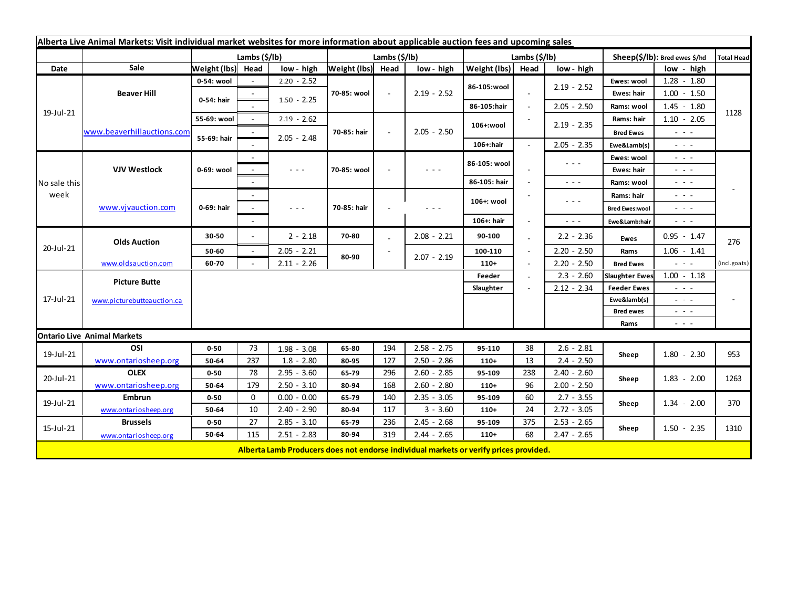| Alberta Live Animal Markets: Visit individual market websites for more information about applicable auction fees and upcoming sales |                            |                   |        |                                                                                                                           |               |        |                                                                                                                        |               |               |                                                                                                                        |                               |                                                                                                                           |              |
|-------------------------------------------------------------------------------------------------------------------------------------|----------------------------|-------------------|--------|---------------------------------------------------------------------------------------------------------------------------|---------------|--------|------------------------------------------------------------------------------------------------------------------------|---------------|---------------|------------------------------------------------------------------------------------------------------------------------|-------------------------------|---------------------------------------------------------------------------------------------------------------------------|--------------|
|                                                                                                                                     |                            | Lambs (\$/lb)     |        |                                                                                                                           | Lambs (\$/lb) |        |                                                                                                                        | Lambs (\$/lb) |               |                                                                                                                        | Sheep(\$/lb): Bred ewes \$/hd |                                                                                                                           | Total Head   |
| Date                                                                                                                                | Sale                       | Weight (lbs) Head |        | low - high                                                                                                                | Weight (lbs)  | Head   | low - high                                                                                                             | Weight (lbs)  | Head          | low - high                                                                                                             |                               | low - high                                                                                                                |              |
| 19-Jul-21                                                                                                                           | <b>Beaver Hill</b>         | 0-54: wool        |        | $2.20 - 2.52$                                                                                                             | 70-85: wool   | $\sim$ | $2.19 - 2.52$                                                                                                          | 86-105:wool   |               |                                                                                                                        | Ewes: wool                    | $1.28 - 1.80$                                                                                                             |              |
|                                                                                                                                     |                            | 0-54: hair        |        |                                                                                                                           |               |        |                                                                                                                        |               |               | $2.19 - 2.52$                                                                                                          | Ewes: hair                    | $1.00 - 1.50$                                                                                                             |              |
|                                                                                                                                     |                            |                   |        | $1.50 - 2.25$                                                                                                             |               |        |                                                                                                                        | 86-105:hair   |               | $2.05 - 2.50$                                                                                                          | Rams: wool                    | $1.45 - 1.80$                                                                                                             |              |
|                                                                                                                                     | www.beaverhillauctions.com | 55-69: wool       | $\sim$ | $2.19 - 2.62$                                                                                                             |               | $\sim$ | $2.05 - 2.50$                                                                                                          | 106+:wool     |               | $2.19 - 2.35$                                                                                                          | Rams: hair                    | $1.10 - 2.05$                                                                                                             | 1128         |
|                                                                                                                                     |                            | 55-69: hair       |        |                                                                                                                           | 70-85: hair   |        |                                                                                                                        |               |               |                                                                                                                        | <b>Bred Ewes</b>              | $\sim$ $\sim$ $\sim$                                                                                                      |              |
|                                                                                                                                     |                            |                   |        | $2.05 - 2.48$                                                                                                             |               |        |                                                                                                                        | 106+:hair     |               | $2.05 - 2.35$                                                                                                          | Ewe&Lamb(s)                   | $\frac{1}{2} \left( \frac{1}{2} \right) \frac{1}{2} \left( \frac{1}{2} \right) \frac{1}{2} \left( \frac{1}{2} \right)$    |              |
| No sale this<br>week                                                                                                                | <b>VJV Westlock</b>        | 0-69: wool        |        |                                                                                                                           |               |        | $\frac{1}{2} \left( \frac{1}{2} \right) \left( \frac{1}{2} \right) \left( \frac{1}{2} \right)$                         | 86-105: wool  |               | $\sim$ $\sim$ $\sim$                                                                                                   | Ewes: wool                    | $\sim$ 100 $\pm$                                                                                                          |              |
|                                                                                                                                     |                            |                   |        | $\sim$ $\sim$ $\sim$                                                                                                      | 70-85: wool   |        |                                                                                                                        |               |               |                                                                                                                        | Ewes: hair                    | $\frac{1}{2} \left( \frac{1}{2} \right) \left( \frac{1}{2} \right) \left( \frac{1}{2} \right)$                            |              |
|                                                                                                                                     |                            |                   |        |                                                                                                                           |               |        |                                                                                                                        | 86-105: hair  |               | $\sim$ $\sim$ $\sim$                                                                                                   | Rams: wool                    | $\sim$ 100 $\sim$                                                                                                         |              |
|                                                                                                                                     | www.vjvauction.com         | 0-69: hair        |        |                                                                                                                           | 70-85: hair   |        | $\frac{1}{2} \left( \frac{1}{2} \right) \frac{1}{2} \left( \frac{1}{2} \right) \frac{1}{2} \left( \frac{1}{2} \right)$ | 106+: wool    |               | $\frac{1}{2} \left( \frac{1}{2} \right) \frac{1}{2} \left( \frac{1}{2} \right) \frac{1}{2} \left( \frac{1}{2} \right)$ | Rams: hair                    | $\frac{1}{2} \left( \frac{1}{2} \right) \left( \frac{1}{2} \right) \left( \frac{1}{2} \right) \left( \frac{1}{2} \right)$ |              |
|                                                                                                                                     |                            |                   | $\sim$ | $\frac{1}{2} \left( \frac{1}{2} \right) \left( \frac{1}{2} \right) \left( \frac{1}{2} \right) \left( \frac{1}{2} \right)$ |               |        |                                                                                                                        |               |               |                                                                                                                        | <b>Bred Ewes:wool</b>         | $\frac{1}{2} \left( \frac{1}{2} \right) \frac{1}{2} \left( \frac{1}{2} \right) \frac{1}{2} \left( \frac{1}{2} \right)$    |              |
|                                                                                                                                     |                            |                   |        |                                                                                                                           |               |        |                                                                                                                        | 106+: hair    |               | $\sim$ $\sim$ $\sim$                                                                                                   | Ewe&Lamb:hair                 | $  -$                                                                                                                     |              |
| 20-Jul-21                                                                                                                           | <b>Olds Auction</b>        | 30-50             | $\sim$ | $2 - 2.18$                                                                                                                | 70-80         |        | $2.08 - 2.21$                                                                                                          | 90-100        |               | $2.2 - 2.36$                                                                                                           | Ewes                          | $0.95 - 1.47$                                                                                                             | 276          |
|                                                                                                                                     |                            | 50-60             | $\sim$ | $2.05 - 2.21$                                                                                                             |               |        |                                                                                                                        | 100-110       |               | $2.20 - 2.50$                                                                                                          | Rams                          | $1.06 - 1.41$                                                                                                             |              |
|                                                                                                                                     | www.oldsauction.com        | 60-70             |        | $2.11 - 2.26$                                                                                                             | 80-90         |        | $2.07 - 2.19$                                                                                                          | $110+$        |               | $2.20 - 2.50$                                                                                                          | <b>Bred Ewes</b>              | $\sim$ 100 $\pm$                                                                                                          | (incl.goats) |
| 17-Jul-21                                                                                                                           | <b>Picture Butte</b>       |                   |        |                                                                                                                           |               |        |                                                                                                                        | Feeder        |               | $2.3 - 2.60$                                                                                                           | <b>Slaughter Ewes</b>         | $1.00 - 1.18$                                                                                                             |              |
|                                                                                                                                     |                            |                   |        |                                                                                                                           |               |        |                                                                                                                        |               | $2.12 - 2.34$ |                                                                                                                        | <b>Feeder Ewes</b>            | $\sim$ 10 $\sim$                                                                                                          |              |
|                                                                                                                                     | www.picturebutteauction.ca |                   |        |                                                                                                                           |               |        |                                                                                                                        |               |               |                                                                                                                        | Ewe&lamb(s)                   | $\frac{1}{2} \left( \frac{1}{2} \right) \frac{1}{2} \left( \frac{1}{2} \right) \frac{1}{2} \left( \frac{1}{2} \right)$    |              |
|                                                                                                                                     |                            |                   |        |                                                                                                                           |               |        |                                                                                                                        |               |               |                                                                                                                        | <b>Bred ewes</b>              | $\frac{1}{2} \left( \frac{1}{2} \right) \left( \frac{1}{2} \right) \left( \frac{1}{2} \right) \left( \frac{1}{2} \right)$ |              |
|                                                                                                                                     |                            |                   |        |                                                                                                                           |               |        |                                                                                                                        |               |               |                                                                                                                        | Rams                          | $\frac{1}{2} \left( \frac{1}{2} \right) \left( \frac{1}{2} \right) \left( \frac{1}{2} \right) \left( \frac{1}{2} \right)$ |              |
| <b>Ontario Live Animal Markets</b>                                                                                                  |                            |                   |        |                                                                                                                           |               |        |                                                                                                                        |               |               |                                                                                                                        |                               |                                                                                                                           |              |
| 19-Jul-21                                                                                                                           | OSI                        | $0 - 50$          | 73     | $1.98 - 3.08$                                                                                                             | 65-80         | 194    | $2.58 - 2.75$                                                                                                          | 95-110        | 38            | $2.6 - 2.81$                                                                                                           | Sheep                         | $1.80 - 2.30$                                                                                                             | 953          |
|                                                                                                                                     | www.ontariosheep.org       | 50-64             | 237    | $1.8 - 2.80$                                                                                                              | 80-95         | 127    | $2.50 - 2.86$                                                                                                          | $110+$        | 13            | $2.4 - 2.50$                                                                                                           |                               |                                                                                                                           |              |
| 20-Jul-21                                                                                                                           | <b>OLEX</b>                | $0 - 50$          | 78     | $2.95 - 3.60$                                                                                                             | 65-79         | 296    | $2.60 - 2.85$                                                                                                          | 95-109        | 238           | $2.40 - 2.60$                                                                                                          | Sheep                         | $1.83 - 2.00$                                                                                                             | 1263         |
|                                                                                                                                     | www.ontariosheep.org       | 50-64             | 179    | $2.50 - 3.10$                                                                                                             | 80-94         | 168    | $2.60 - 2.80$                                                                                                          | $110+$        | 96            | $2.00 - 2.50$                                                                                                          |                               |                                                                                                                           |              |
| 19-Jul-21<br>15-Jul-21                                                                                                              | <b>Embrun</b>              | $0 - 50$          | 0      | $0.00 - 0.00$                                                                                                             | 65-79         | 140    | $2.35 - 3.05$                                                                                                          | 95-109        | 60            | $2.7 - 3.55$                                                                                                           | Sheep                         | $1.34 - 2.00$<br>$1.50 - 2.35$                                                                                            | 370<br>1310  |
|                                                                                                                                     | www.ontariosheep.org       | 50-64             | 10     | $2.40 - 2.90$                                                                                                             | 80-94         | 117    | $3 - 3.60$                                                                                                             | $110+$        | 24            | $2.72 - 3.05$                                                                                                          |                               |                                                                                                                           |              |
|                                                                                                                                     | <b>Brussels</b>            | $0 - 50$          | 27     | $2.85 - 3.10$                                                                                                             | 65-79         | 236    | $2.45 - 2.68$                                                                                                          | 95-109        | 375           | $2.53 - 2.65$                                                                                                          | Sheep                         |                                                                                                                           |              |
|                                                                                                                                     | www.ontariosheep.org       | 50-64             | 115    | $2.51 - 2.83$                                                                                                             | 80-94         | 319    | $2.44 - 2.65$                                                                                                          | $110+$        | 68            | $2.47 - 2.65$                                                                                                          |                               |                                                                                                                           |              |
|                                                                                                                                     |                            |                   |        | Alberta Lamb Producers does not endorse individual markets or verify prices provided.                                     |               |        |                                                                                                                        |               |               |                                                                                                                        |                               |                                                                                                                           |              |